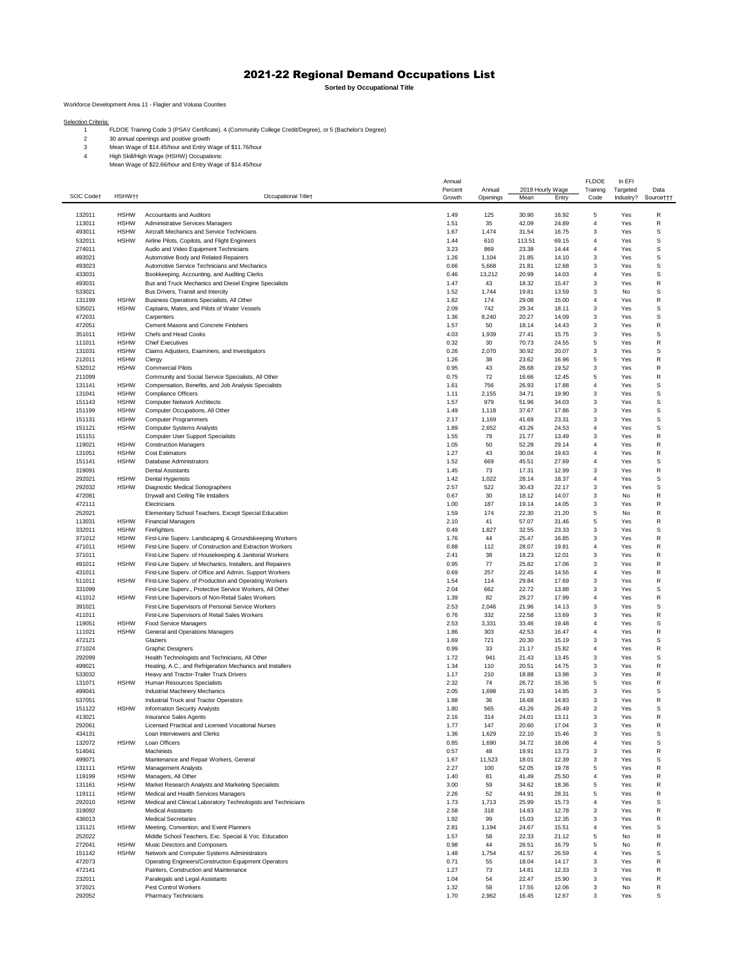## 2021-22 Regional Demand Occupations List

**Sorted by Occupational Title**

Workforce Development Area 11 - Flagler and Volusia Counties

Selection Criteria:<br>1 FLDOE Training Code 3 (PSAV Certificate), 4 (Community College Credit/Degree), or 5 (Bachelor's Degree)

- 
- 30 annual openings and positive growth 3 Mean Wage of \$14.45/hour and Entry Wage of \$11.76/hour 4 High Skill/High Wage (HSHW) Occupations: Mean Wage of \$22.66/hour and Entry Wage of \$14.45/hour

|           |                    |                                                               | Annual  |          |                  |       | <b>FLDOE</b>   | In EFI    |           |
|-----------|--------------------|---------------------------------------------------------------|---------|----------|------------------|-------|----------------|-----------|-----------|
|           |                    |                                                               | Percent | Annual   | 2019 Hourly Wage |       | Training       | Targeted  | Data      |
| SOC Codet | HSHW <sub>††</sub> | Occupational Titlet                                           | Growth  | Openings | Mean             | Entry | Code           | Industry? | Source††† |
|           |                    |                                                               |         |          |                  |       |                |           |           |
|           |                    |                                                               |         |          |                  |       |                |           |           |
| 132011    | <b>HSHW</b>        | <b>Accountants and Auditors</b>                               | 1.49    | 125      | 30.90            | 16.92 | 5              | Yes       | R         |
| 113011    | <b>HSHW</b>        | Administrative Services Managers                              | 1.51    | 35       | 42.09            | 24.89 | 4              | Yes       | R         |
| 493011    | <b>HSHW</b>        | Aircraft Mechanics and Service Technicians                    | 1.67    | 1,474    | 31.54            | 16.75 | 3              | Yes       | s         |
| 532011    | <b>HSHW</b>        | Airline Pilots, Copilots, and Flight Engineers                | 1.44    | 610      | 113.51           | 69.15 | 4              | Yes       | S         |
| 274011    |                    | Audio and Video Equipment Technicians                         | 3.23    | 869      | 23.38            | 14.44 | 4              | Yes       | S         |
| 493021    |                    | Automotive Body and Related Repairers                         | 1.26    | 1,104    | 21.85            | 14.10 | 3              | Yes       | S         |
|           |                    |                                                               |         |          |                  |       |                |           |           |
| 493023    |                    | Automotive Service Technicians and Mechanics                  | 0.66    | 5,668    | 21.81            | 12.68 | 3              | Yes       | s         |
| 433031    |                    | Bookkeeping, Accounting, and Auditing Clerks                  | 0.46    | 13,212   | 20.99            | 14.03 | $\overline{4}$ | Yes       | S         |
| 493031    |                    | Bus and Truck Mechanics and Diesel Engine Specialists         | 1.47    | 43       | 18.32            | 15.47 | 3              | Yes       | R         |
| 533021    |                    | Bus Drivers, Transit and Intercity                            | 1.52    | 1,744    | 19.81            | 13.59 | 3              | No        | s         |
| 131199    | <b>HSHW</b>        |                                                               | 1.82    | 174      | 29.08            | 15.00 | $\sqrt{4}$     | Yes       | R         |
|           |                    | Business Operations Specialists, All Other                    |         |          |                  |       |                |           |           |
| 535021    | <b>HSHW</b>        | Captains, Mates, and Pilots of Water Vessels                  | 2.09    | 742      | 29.34            | 18.11 | 3              | Yes       | s         |
| 472031    |                    | Carpenters                                                    | 1.36    | 8,240    | 20.27            | 14.09 | 3              | Yes       | s         |
| 472051    |                    | Cement Masons and Concrete Finishers                          | 1.57    | 50       | 18.14            | 14.43 | 3              | Yes       | R         |
| 351011    | <b>HSHW</b>        | Chefs and Head Cooks                                          | 4.03    | 1,939    | 27.41            | 15.75 | 3              | Yes       | s         |
| 111011    | <b>HSHW</b>        | <b>Chief Executives</b>                                       | 0.32    | 30       | 70.73            | 24.55 | 5              | Yes       | R         |
|           |                    |                                                               |         |          |                  |       |                |           |           |
| 131031    | <b>HSHW</b>        | Claims Adjusters, Examiners, and Investigators                | 0.26    | 2,070    | 30.92            | 20.07 | 3              | Yes       | s         |
| 212011    | <b>HSHW</b>        | Clergy                                                        | 1.26    | 38       | 23.62            | 16.96 | 5              | Yes       | R         |
| 532012    | <b>HSHW</b>        | <b>Commercial Pilots</b>                                      | 0.95    | 43       | 26.68            | 19.52 | 3              | Yes       | R         |
| 211099    |                    | Community and Social Service Specialists, All Other           | 0.75    | 72       | 16.66            | 12.45 | 5              | Yes       | R         |
|           |                    |                                                               |         |          |                  |       |                |           |           |
| 131141    | <b>HSHW</b>        | Compensation, Benefits, and Job Analysis Specialists          | 1.61    | 756      | 26.93            | 17.88 | 4              | Yes       | s         |
| 131041    | <b>HSHW</b>        | <b>Compliance Officers</b>                                    | 1.11    | 2,155    | 34.71            | 19.90 | 3              | Yes       | S         |
| 151143    | <b>HSHW</b>        | <b>Computer Network Architects</b>                            | 1.57    | 979      | 51.96            | 34.03 | 3              | Yes       | s         |
| 151199    | <b>HSHW</b>        | Computer Occupations, All Other                               | 1.49    | 1,118    | 37.67            | 17.86 | 3              | Yes       | s         |
| 151131    | <b>HSHW</b>        |                                                               | 2.17    | 1,169    | 41.69            | 23.31 | 3              | Yes       | s         |
|           |                    | <b>Computer Programmers</b>                                   |         |          |                  |       |                |           |           |
| 151121    | <b>HSHW</b>        | <b>Computer Systems Analysts</b>                              | 1.89    | 2,652    | 43.26            | 24.53 | 4              | Yes       | s         |
| 151151    |                    | <b>Computer User Support Specialists</b>                      | 1.55    | 78       | 21.77            | 13.49 | 3              | Yes       | R         |
| 119021    | <b>HSHW</b>        | <b>Construction Managers</b>                                  | 1.05    | 50       | 52.28            | 29.14 | 4              | Yes       | R         |
|           |                    |                                                               |         | 43       |                  |       | 4              |           | R         |
| 131051    | <b>HSHW</b>        | <b>Cost Estimators</b>                                        | 1.27    |          | 30.04            | 19.63 |                | Yes       |           |
| 151141    | <b>HSHW</b>        | Database Administrators                                       | 1.52    | 669      | 45.51            | 27.69 | 4              | Yes       | S         |
| 319091    |                    | <b>Dental Assistants</b>                                      | 1.45    | 73       | 17.31            | 12.99 | 3              | Yes       | R         |
| 292021    | <b>HSHW</b>        | Dental Hygienists                                             | 1.42    | 1,022    | 28.14            | 18.37 | 4              | Yes       | s         |
| 292032    | <b>HSHW</b>        | Diagnostic Medical Sonographers                               | 2.57    | 522      | 30.43            | 22.17 | 3              | Yes       | S         |
|           |                    |                                                               |         |          |                  |       |                |           |           |
| 472081    |                    | Drywall and Ceiling Tile Installers                           | 0.67    | 30       | 18.12            | 14.07 | 3              | No        | R         |
| 472111    |                    | Electricians                                                  | 1.00    | 187      | 19.14            | 14.05 | 3              | Yes       | R         |
| 252021    |                    | Elementary School Teachers, Except Special Education          | 1.59    | 174      | 22.30            | 21.20 | 5              | No        | R         |
| 113031    | <b>HSHW</b>        | <b>Financial Managers</b>                                     | 2.10    | 41       | 57.07            | 31.46 | 5              | Yes       | R         |
| 332011    | <b>HSHW</b>        | Firefighters                                                  | 0.49    | 1,827    | 32.55            | 23.33 | 3              | Yes       | s         |
|           |                    |                                                               |         |          |                  |       |                |           |           |
| 371012    | <b>HSHW</b>        | First-Line Superv. Landscaping & Groundskeeping Workers       | 1.76    | 44       | 25.47            | 16.85 | 3              | Yes       | R         |
| 471011    | <b>HSHW</b>        | First-Line Superv. of Construction and Extraction Workers     | 0.88    | 112      | 28.07            | 19.81 | 4              | Yes       | R         |
| 371011    |                    | First-Line Superv. of Housekeeping & Janitorial Workers       | 2.41    | 38       | 18.23            | 12.01 | 3              | Yes       | R         |
| 491011    | <b>HSHW</b>        | First-Line Superv. of Mechanics, Installers, and Repairers    | 0.95    | 77       | 25.82            | 17.06 | 3              | Yes       | R         |
|           |                    |                                                               |         |          |                  |       |                |           |           |
| 431011    |                    | First-Line Superv. of Office and Admin. Support Workers       | 0.69    | 257      | 22.45            | 14.55 | 4              | Yes       | R         |
| 511011    | <b>HSHW</b>        | First-Line Superv. of Production and Operating Workers        | 1.54    | 114      | 29.84            | 17.69 | 3              | Yes       | R         |
| 331099    |                    | First-Line Superv., Protective Service Workers, All Other     | 2.04    | 662      | 22.72            | 13.88 | 3              | Yes       | S         |
| 411012    | <b>HSHW</b>        | First-Line Supervisors of Non-Retail Sales Workers            | 1.39    | 82       | 29.27            | 17.99 | 4              | Yes       | R         |
| 391021    |                    | First-Line Supervisors of Personal Service Workers            | 2.53    | 2,046    | 21.96            | 14.13 | 3              | Yes       | S         |
|           |                    |                                                               |         |          |                  |       |                |           |           |
| 411011    |                    | First-Line Supervisors of Retail Sales Workers                | 0.76    | 332      | 22.58            | 13.69 | 3              | Yes       | R         |
| 119051    | HSHW               | <b>Food Service Managers</b>                                  | 2.53    | 3,331    | 33.46            | 19.48 | 4              | Yes       | s         |
| 111021    | <b>HSHW</b>        | General and Operations Managers                               | 1.86    | 303      | 42.53            | 16.47 | $\sqrt{4}$     | Yes       | R         |
| 472121    |                    | Glaziers                                                      | 1.69    | 721      | 20.30            | 15.19 | 3              | Yes       | s         |
| 271024    |                    |                                                               | 0.99    | 33       | 21.17            | 15.82 | 4              |           | R         |
|           |                    | <b>Graphic Designers</b>                                      |         |          |                  |       |                | Yes       |           |
| 292099    |                    | Health Technologists and Technicians, All Other               | 1.72    | 941      | 21.43            | 13.45 | 3              | Yes       | s         |
| 499021    |                    | Heating, A.C., and Refrigeration Mechanics and Installers     | 1.34    | 110      | 20.51            | 14.75 | 3              | Yes       | R         |
| 533032    |                    | Heavy and Tractor-Trailer Truck Drivers                       | 1.17    | 210      | 18.88            | 13.98 | 3              | Yes       | R         |
| 131071    | <b>HSHW</b>        | Human Resources Specialists                                   | 2.32    | 74       | 26.72            | 16.36 | 5              | Yes       | R         |
|           |                    |                                                               |         |          |                  |       |                |           |           |
| 499041    |                    | Industrial Machinery Mechanics                                | 2.05    | 1,698    | 21.93            | 14.95 | 3              | Yes       | s         |
| 537051    |                    | Industrial Truck and Tractor Operators                        | 1.88    | 36       | 16.68            | 14.83 | 3              | Yes       | R         |
| 151122    | <b>HSHW</b>        | <b>Information Security Analysts</b>                          | 1.80    | 565      | 43.26            | 26.49 | 3              | Yes       | S         |
| 413021    |                    | <b>Insurance Sales Agents</b>                                 | 2.16    | 314      | 24.01            | 13.11 | 3              | Yes       | R         |
| 292061    |                    | Licensed Practical and Licensed Vocational Nurses             | 1.77    | 147      | 20.60            | 17.04 | 3              | Yes       | R         |
| 434131    |                    | Loan Interviewers and Clerks                                  | 1.36    | 1,629    | 22.10            | 15.46 | 3              | Yes       | s         |
|           |                    |                                                               |         |          |                  |       |                |           |           |
| 132072    | <b>HSHW</b>        | Loan Officers                                                 | 0.85    | 1,690    | 34.72            | 18.08 | 4              | Yes       | s         |
| 514041    |                    | Machinists                                                    | 0.57    | 48       | 19.91            | 13.73 | 3              | Yes       | R         |
| 499071    |                    | Maintenance and Repair Workers, General                       | 1.67    | 11,523   | 18.01            | 12.39 | 3              | Yes       | s         |
| 131111    | <b>HSHW</b>        | <b>Management Analysts</b>                                    | 2.27    | 100      | 52.05            | 19.78 | 5              | Yes       | R         |
|           |                    |                                                               |         |          |                  |       |                |           |           |
| 119199    | <b>HSHW</b>        | Managers, All Other                                           | 1.40    | 81       | 41.49            | 25.50 | 4              | Yes       | R         |
| 131161    | <b>HSHW</b>        | Market Research Analysts and Marketing Specialists            | 3.00    | 59       | 34.62            | 18.36 | 5              | Yes       | R         |
| 119111    | <b>HSHW</b>        | Medical and Health Services Managers                          | 2.26    | 52       | 44.91            | 28.31 | 5              | Yes       | R         |
| 292010    | <b>HSHW</b>        | Medical and Clinical Laboratory Technologists and Technicians | 1.73    | 1,713    | 25.99            | 15.73 | 4              | Yes       | S         |
| 319092    |                    | <b>Medical Assistants</b>                                     | 2.58    | 318      | 14.63            | 12.78 | 3              | Yes       | R         |
|           |                    |                                                               |         |          |                  |       |                |           |           |
| 436013    |                    | <b>Medical Secretaries</b>                                    | 1.92    | 99       | 15.03            | 12.35 | 3              | Yes       | R         |
| 131121    | <b>HSHW</b>        | Meeting, Convention, and Event Planners                       | 2.81    | 1,194    | 24.67            | 15.51 | 4              | Yes       | s         |
| 252022    |                    | Middle School Teachers, Exc. Special & Voc. Education         | 1.57    | 58       | 22.33            | 21.12 | 5              | No        | R         |
| 272041    | <b>HSHW</b>        | Music Directors and Composers                                 | 0.98    | 44       | 26.51            | 16.79 | 5              | No        | R         |
| 151142    | <b>HSHW</b>        | Network and Computer Systems Administrators                   | 1.48    | 1,754    | 41.57            | 26.59 | 4              | Yes       | s         |
|           |                    |                                                               |         |          |                  |       |                |           |           |
| 472073    |                    | Operating Engineers/Construction Equipment Operators          | 0.71    | 55       | 18.04            | 14.17 | 3              | Yes       | R         |
| 472141    |                    | Painters, Construction and Maintenance                        | 1.27    | 73       | 14.81            | 12.33 | 3              | Yes       | R         |
| 232011    |                    | Paralegals and Legal Assistants                               | 1.04    | 54       | 22.47            | 15.90 | 3              | Yes       | R         |
| 372021    |                    | Pest Control Workers                                          | 1.32    | 58       | 17.55            | 12.06 | 3              | No        | R         |
| 292052    |                    | Pharmacy Technicians                                          | 1.70    | 2,962    | 16.45            | 12.67 | 3              | Yes       | s         |
|           |                    |                                                               |         |          |                  |       |                |           |           |
|           |                    |                                                               |         |          |                  |       |                |           |           |